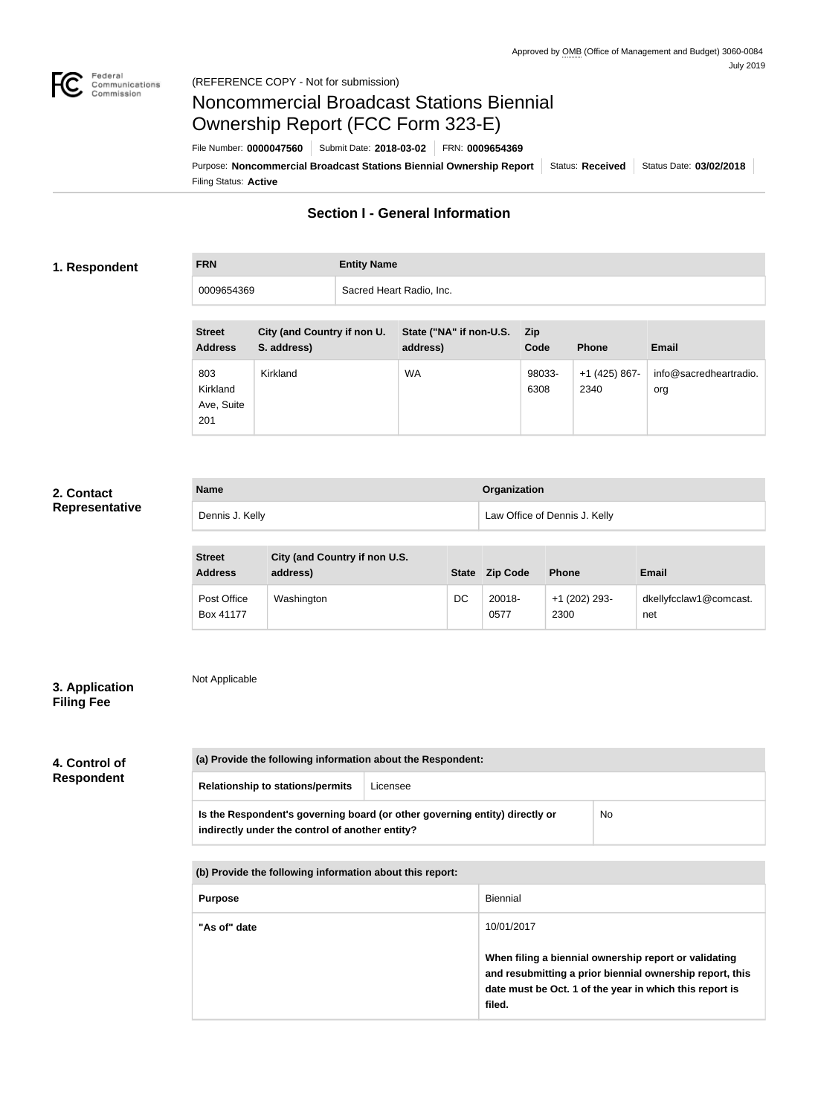

# Noncommercial Broadcast Stations Biennial Ownership Report (FCC Form 323-E)

Filing Status: **Active** Purpose: Noncommercial Broadcast Stations Biennial Ownership Report | Status: Received | Status Date: 03/02/2018 File Number: **0000047560** Submit Date: **2018-03-02** FRN: **0009654369**

# **Section I - General Information**

### **1. Respondent**

**FRN Entity Name** 0009654369 Sacred Heart Radio, Inc.

| <b>Street</b><br><b>Address</b>      | City (and Country if non U.<br>S. address) | State ("NA" if non-U.S.<br>address) | <b>Zip</b><br>Code | <b>Phone</b>          | <b>Email</b>                  |
|--------------------------------------|--------------------------------------------|-------------------------------------|--------------------|-----------------------|-------------------------------|
| 803<br>Kirkland<br>Ave, Suite<br>201 | Kirkland                                   | WA                                  | 98033-<br>6308     | +1 (425) 867-<br>2340 | info@sacredheartradio.<br>org |

## **2. Contact Representative**

| <b>Name</b>     | <b>Organization</b>           |
|-----------------|-------------------------------|
| Dennis J. Kelly | Law Office of Dennis J. Kelly |

| <b>Street</b><br><b>Address</b> | City (and Country if non U.S.<br>address) | <b>State</b> | <b>Zip Code</b> | <b>Phone</b>          | <b>Email</b>                  |
|---------------------------------|-------------------------------------------|--------------|-----------------|-----------------------|-------------------------------|
| Post Office<br>Box 41177        | Washington                                | DC           | 20018-<br>0577  | +1 (202) 293-<br>2300 | dkellyfcclaw1@comcast.<br>net |

# **3. Application Filing Fee**

Not Applicable

# **4. Control of Respondent**

| (a) Provide the following information about the Respondent:                                                                    |          |    |  |  |
|--------------------------------------------------------------------------------------------------------------------------------|----------|----|--|--|
| <b>Relationship to stations/permits</b>                                                                                        | Licensee |    |  |  |
| Is the Respondent's governing board (or other governing entity) directly or<br>indirectly under the control of another entity? |          | No |  |  |

**(b) Provide the following information about this report:**

| <b>Purpose</b> | Biennial                                                                                                                                                                               |
|----------------|----------------------------------------------------------------------------------------------------------------------------------------------------------------------------------------|
| "As of" date   | 10/01/2017                                                                                                                                                                             |
|                | When filing a biennial ownership report or validating<br>and resubmitting a prior biennial ownership report, this<br>date must be Oct. 1 of the year in which this report is<br>filed. |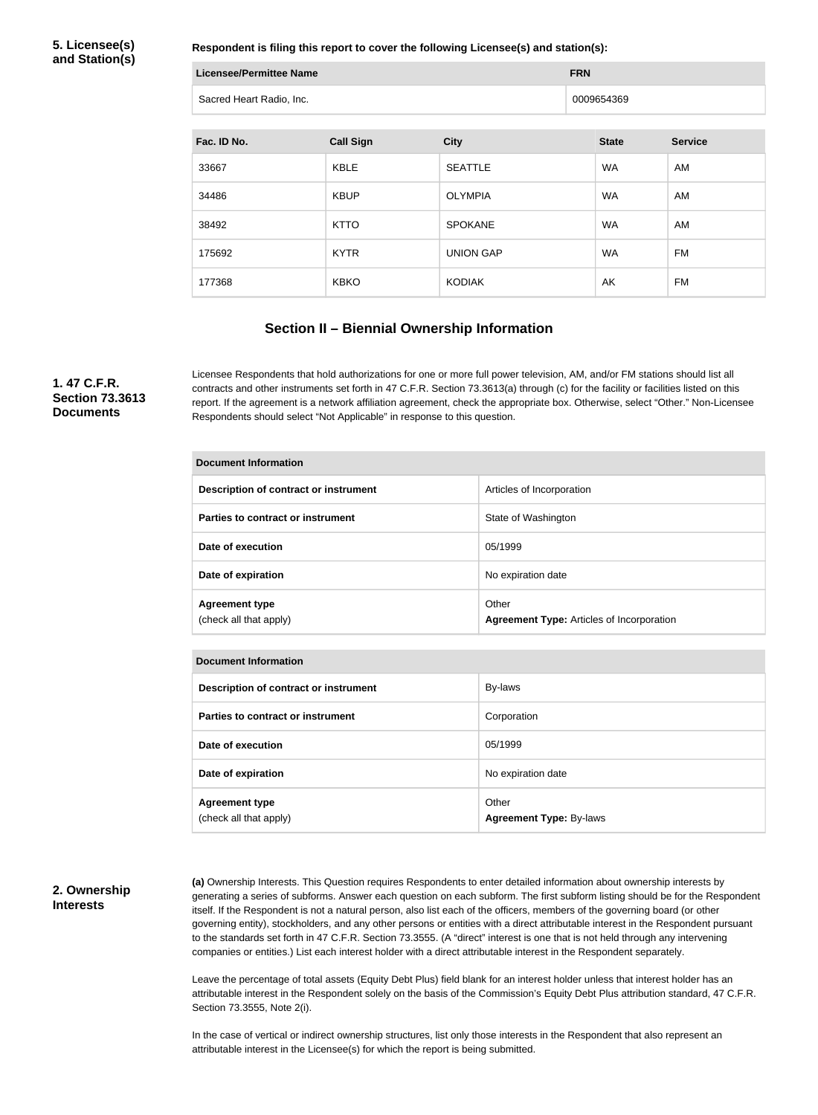**5. Licensee(s) and Station(s)**

**Respondent is filing this report to cover the following Licensee(s) and station(s):**

| <b>Licensee/Permittee Name</b> | <b>FRN</b> |
|--------------------------------|------------|
| Sacred Heart Radio, Inc.       | 0009654369 |

| Fac. ID No. | <b>Call Sign</b> | <b>City</b>      | <b>State</b> | <b>Service</b> |
|-------------|------------------|------------------|--------------|----------------|
| 33667       | <b>KBLE</b>      | <b>SEATTLE</b>   | <b>WA</b>    | AM             |
| 34486       | <b>KBUP</b>      | <b>OLYMPIA</b>   | <b>WA</b>    | AM             |
| 38492       | <b>KTTO</b>      | <b>SPOKANE</b>   | <b>WA</b>    | AM             |
| 175692      | <b>KYTR</b>      | <b>UNION GAP</b> | <b>WA</b>    | <b>FM</b>      |
| 177368      | <b>KBKO</b>      | <b>KODIAK</b>    | AK           | <b>FM</b>      |

#### **Section II – Biennial Ownership Information**

**1. 47 C.F.R. Section 73.3613 Documents**

Licensee Respondents that hold authorizations for one or more full power television, AM, and/or FM stations should list all contracts and other instruments set forth in 47 C.F.R. Section 73.3613(a) through (c) for the facility or facilities listed on this report. If the agreement is a network affiliation agreement, check the appropriate box. Otherwise, select "Other." Non-Licensee Respondents should select "Not Applicable" in response to this question.

| <b>Document Information</b>                     |                                                           |  |  |
|-------------------------------------------------|-----------------------------------------------------------|--|--|
| Description of contract or instrument           | Articles of Incorporation                                 |  |  |
| Parties to contract or instrument               | State of Washington                                       |  |  |
| Date of execution                               | 05/1999                                                   |  |  |
| Date of expiration                              | No expiration date                                        |  |  |
| <b>Agreement type</b><br>(check all that apply) | Other<br><b>Agreement Type: Articles of Incorporation</b> |  |  |

| <b>Document Information</b>                     |                                         |  |
|-------------------------------------------------|-----------------------------------------|--|
| Description of contract or instrument           | By-laws                                 |  |
| Parties to contract or instrument               | Corporation                             |  |
| Date of execution                               | 05/1999                                 |  |
| Date of expiration                              | No expiration date                      |  |
| <b>Agreement type</b><br>(check all that apply) | Other<br><b>Agreement Type: By-laws</b> |  |

#### **2. Ownership Interests**

**(a)** Ownership Interests. This Question requires Respondents to enter detailed information about ownership interests by generating a series of subforms. Answer each question on each subform. The first subform listing should be for the Respondent itself. If the Respondent is not a natural person, also list each of the officers, members of the governing board (or other governing entity), stockholders, and any other persons or entities with a direct attributable interest in the Respondent pursuant to the standards set forth in 47 C.F.R. Section 73.3555. (A "direct" interest is one that is not held through any intervening companies or entities.) List each interest holder with a direct attributable interest in the Respondent separately.

Leave the percentage of total assets (Equity Debt Plus) field blank for an interest holder unless that interest holder has an attributable interest in the Respondent solely on the basis of the Commission's Equity Debt Plus attribution standard, 47 C.F.R. Section 73.3555, Note 2(i).

In the case of vertical or indirect ownership structures, list only those interests in the Respondent that also represent an attributable interest in the Licensee(s) for which the report is being submitted.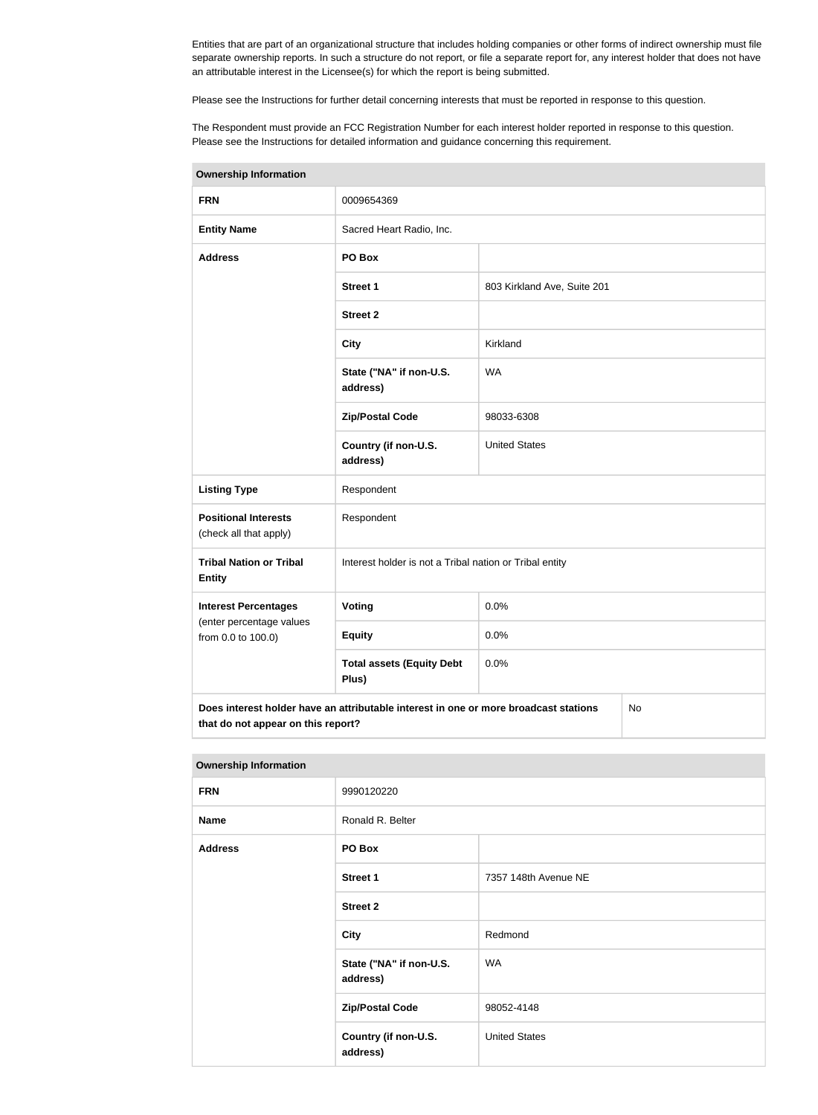Entities that are part of an organizational structure that includes holding companies or other forms of indirect ownership must file separate ownership reports. In such a structure do not report, or file a separate report for, any interest holder that does not have an attributable interest in the Licensee(s) for which the report is being submitted.

Please see the Instructions for further detail concerning interests that must be reported in response to this question.

The Respondent must provide an FCC Registration Number for each interest holder reported in response to this question. Please see the Instructions for detailed information and guidance concerning this requirement.

| <b>Ownership Information</b>                                                                                                     |                                                         |                             |  |  |
|----------------------------------------------------------------------------------------------------------------------------------|---------------------------------------------------------|-----------------------------|--|--|
| <b>FRN</b>                                                                                                                       | 0009654369                                              |                             |  |  |
| <b>Entity Name</b>                                                                                                               | Sacred Heart Radio, Inc.                                |                             |  |  |
| <b>Address</b>                                                                                                                   | PO Box                                                  |                             |  |  |
|                                                                                                                                  | <b>Street 1</b>                                         | 803 Kirkland Ave, Suite 201 |  |  |
|                                                                                                                                  | <b>Street 2</b>                                         |                             |  |  |
|                                                                                                                                  | <b>City</b>                                             | Kirkland                    |  |  |
|                                                                                                                                  | State ("NA" if non-U.S.<br>address)                     | <b>WA</b>                   |  |  |
|                                                                                                                                  | <b>Zip/Postal Code</b>                                  | 98033-6308                  |  |  |
|                                                                                                                                  | Country (if non-U.S.<br>address)                        | <b>United States</b>        |  |  |
| <b>Listing Type</b>                                                                                                              | Respondent                                              |                             |  |  |
| <b>Positional Interests</b><br>(check all that apply)                                                                            | Respondent                                              |                             |  |  |
| <b>Tribal Nation or Tribal</b><br><b>Entity</b>                                                                                  | Interest holder is not a Tribal nation or Tribal entity |                             |  |  |
| <b>Interest Percentages</b>                                                                                                      | <b>Voting</b>                                           | 0.0%                        |  |  |
| (enter percentage values<br>from 0.0 to 100.0)                                                                                   | <b>Equity</b>                                           | 0.0%                        |  |  |
|                                                                                                                                  | <b>Total assets (Equity Debt</b><br>Plus)               | 0.0%                        |  |  |
| Does interest holder have an attributable interest in one or more broadcast stations<br>No<br>that do not appear on this report? |                                                         |                             |  |  |

| <b>Ownership Information</b> |                                     |                      |  |  |
|------------------------------|-------------------------------------|----------------------|--|--|
| <b>FRN</b>                   | 9990120220                          |                      |  |  |
| <b>Name</b>                  | Ronald R. Belter                    |                      |  |  |
| <b>Address</b>               | PO Box                              |                      |  |  |
|                              | <b>Street 1</b>                     | 7357 148th Avenue NE |  |  |
|                              | <b>Street 2</b>                     |                      |  |  |
|                              | <b>City</b>                         | Redmond              |  |  |
|                              | State ("NA" if non-U.S.<br>address) | <b>WA</b>            |  |  |
|                              | <b>Zip/Postal Code</b>              | 98052-4148           |  |  |
|                              | Country (if non-U.S.<br>address)    | <b>United States</b> |  |  |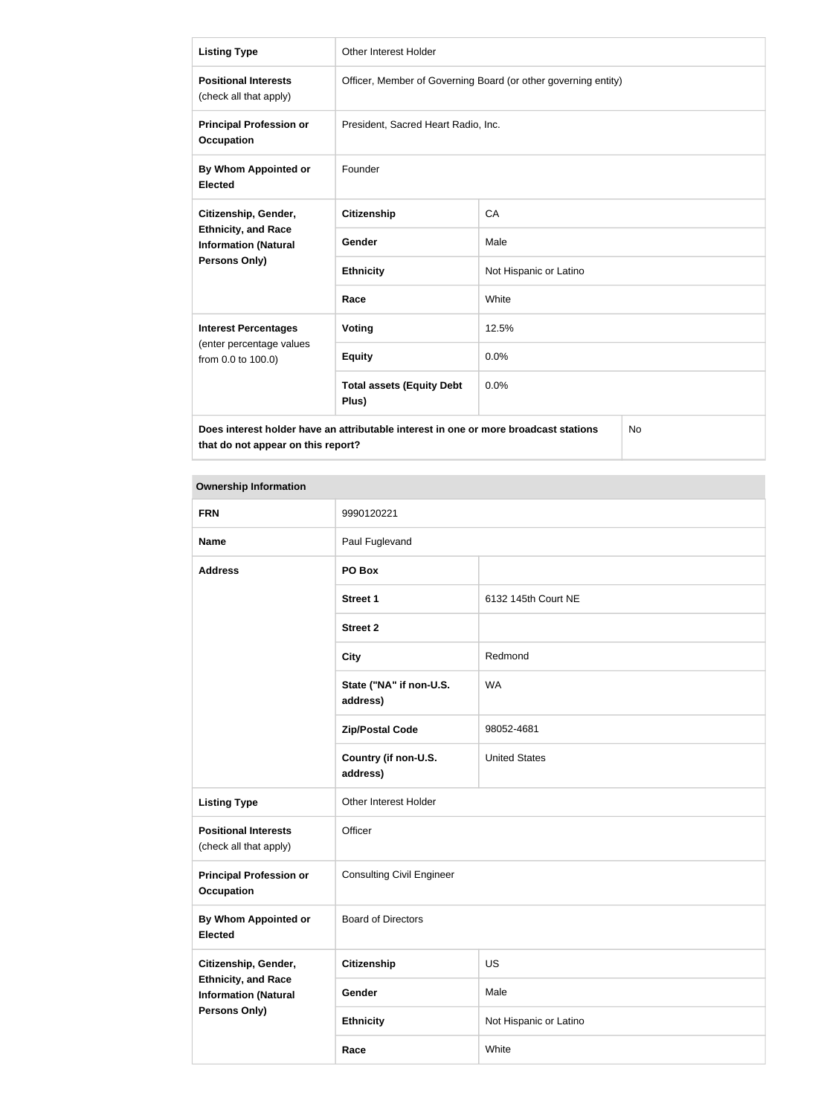| <b>Listing Type</b>                                                                        | <b>Other Interest Holder</b>                                   |                        |  |  |
|--------------------------------------------------------------------------------------------|----------------------------------------------------------------|------------------------|--|--|
| <b>Positional Interests</b><br>(check all that apply)                                      | Officer, Member of Governing Board (or other governing entity) |                        |  |  |
| <b>Principal Profession or</b><br><b>Occupation</b>                                        | President, Sacred Heart Radio, Inc.                            |                        |  |  |
| By Whom Appointed or<br><b>Elected</b>                                                     | Founder                                                        |                        |  |  |
| Citizenship, Gender,                                                                       | Citizenship                                                    | CA                     |  |  |
| <b>Ethnicity, and Race</b><br><b>Information (Natural</b>                                  | Gender                                                         | Male                   |  |  |
| Persons Only)                                                                              | <b>Ethnicity</b>                                               | Not Hispanic or Latino |  |  |
|                                                                                            | Race                                                           | White                  |  |  |
| <b>Interest Percentages</b>                                                                | Voting                                                         | 12.5%                  |  |  |
| (enter percentage values<br>from 0.0 to 100.0)                                             | <b>Equity</b>                                                  | 0.0%                   |  |  |
|                                                                                            | <b>Total assets (Equity Debt</b><br>Plus)                      | 0.0%                   |  |  |
| Does interest holder have an attributable interest in one or more broadcast stations<br>No |                                                                |                        |  |  |

**that do not appear on this report?**

| <b>Ownership Information</b>                                                                       |                                     |                        |
|----------------------------------------------------------------------------------------------------|-------------------------------------|------------------------|
| <b>FRN</b>                                                                                         | 9990120221                          |                        |
| <b>Name</b>                                                                                        | Paul Fuglevand                      |                        |
| <b>Address</b>                                                                                     | PO Box                              |                        |
|                                                                                                    | <b>Street 1</b>                     | 6132 145th Court NE    |
|                                                                                                    | <b>Street 2</b>                     |                        |
|                                                                                                    | <b>City</b>                         | Redmond                |
|                                                                                                    | State ("NA" if non-U.S.<br>address) | <b>WA</b>              |
|                                                                                                    | <b>Zip/Postal Code</b>              | 98052-4681             |
|                                                                                                    | Country (if non-U.S.<br>address)    | <b>United States</b>   |
| <b>Listing Type</b>                                                                                | Other Interest Holder               |                        |
| <b>Positional Interests</b><br>(check all that apply)                                              | Officer                             |                        |
| <b>Principal Profession or</b><br><b>Occupation</b>                                                | <b>Consulting Civil Engineer</b>    |                        |
| By Whom Appointed or<br><b>Elected</b>                                                             | <b>Board of Directors</b>           |                        |
| Citizenship, Gender,<br><b>Ethnicity, and Race</b><br><b>Information (Natural</b><br>Persons Only) | <b>Citizenship</b>                  | US                     |
|                                                                                                    | Gender                              | Male                   |
|                                                                                                    | <b>Ethnicity</b>                    | Not Hispanic or Latino |

**Race** White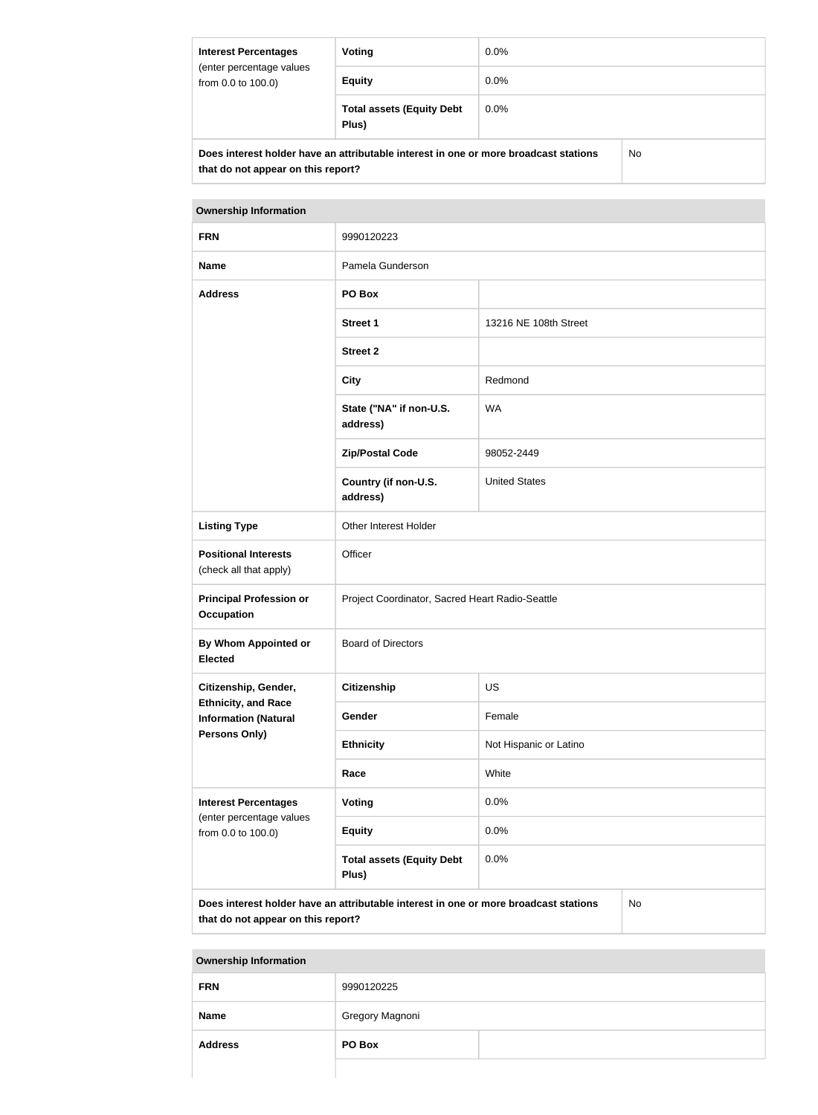| <b>Interest Percentages</b><br>(enter percentage values<br>from 0.0 to 100.0)                        | Voting                                    | $0.0\%$ |  |
|------------------------------------------------------------------------------------------------------|-------------------------------------------|---------|--|
|                                                                                                      | <b>Equity</b>                             | $0.0\%$ |  |
|                                                                                                      | <b>Total assets (Equity Debt</b><br>Plus) | $0.0\%$ |  |
| Dees interest helder have an ettributable interest in one or mars broadcast stations<br>$N_{\alpha}$ |                                           |         |  |

**Does interest holder have an attributable interest in one or more broadcast stations that do not appear on this report?**

No

| <b>Ownership Information</b>                                                               |                                                 |                        |  |
|--------------------------------------------------------------------------------------------|-------------------------------------------------|------------------------|--|
| <b>FRN</b>                                                                                 | 9990120223                                      |                        |  |
| <b>Name</b>                                                                                | Pamela Gunderson                                |                        |  |
| <b>Address</b>                                                                             | PO Box                                          |                        |  |
|                                                                                            | <b>Street 1</b>                                 | 13216 NE 108th Street  |  |
|                                                                                            | <b>Street 2</b>                                 |                        |  |
|                                                                                            | <b>City</b>                                     | Redmond                |  |
|                                                                                            | State ("NA" if non-U.S.<br>address)             | <b>WA</b>              |  |
|                                                                                            | <b>Zip/Postal Code</b>                          | 98052-2449             |  |
|                                                                                            | Country (if non-U.S.<br>address)                | <b>United States</b>   |  |
| <b>Listing Type</b>                                                                        | Other Interest Holder                           |                        |  |
| <b>Positional Interests</b><br>(check all that apply)                                      | Officer                                         |                        |  |
| <b>Principal Profession or</b><br><b>Occupation</b>                                        | Project Coordinator, Sacred Heart Radio-Seattle |                        |  |
| By Whom Appointed or<br><b>Elected</b>                                                     | <b>Board of Directors</b>                       |                        |  |
| Citizenship, Gender,                                                                       | <b>Citizenship</b>                              | <b>US</b>              |  |
| <b>Ethnicity, and Race</b><br><b>Information (Natural</b>                                  | Gender                                          | Female                 |  |
| <b>Persons Only)</b>                                                                       | <b>Ethnicity</b>                                | Not Hispanic or Latino |  |
|                                                                                            | Race                                            | White                  |  |
| <b>Interest Percentages</b><br>(enter percentage values                                    | Voting                                          | 0.0%                   |  |
| from 0.0 to 100.0)                                                                         | <b>Equity</b>                                   | 0.0%                   |  |
|                                                                                            | <b>Total assets (Equity Debt</b><br>Plus)       | 0.0%                   |  |
| Does interest holder have an attributable interest in one or more broadcast stations<br>No |                                                 |                        |  |

**that do not appear on this report?**

**Ownership Information**

| <b>FRN</b>     | 9990120225      |  |
|----------------|-----------------|--|
| <b>Name</b>    | Gregory Magnoni |  |
| <b>Address</b> | PO Box          |  |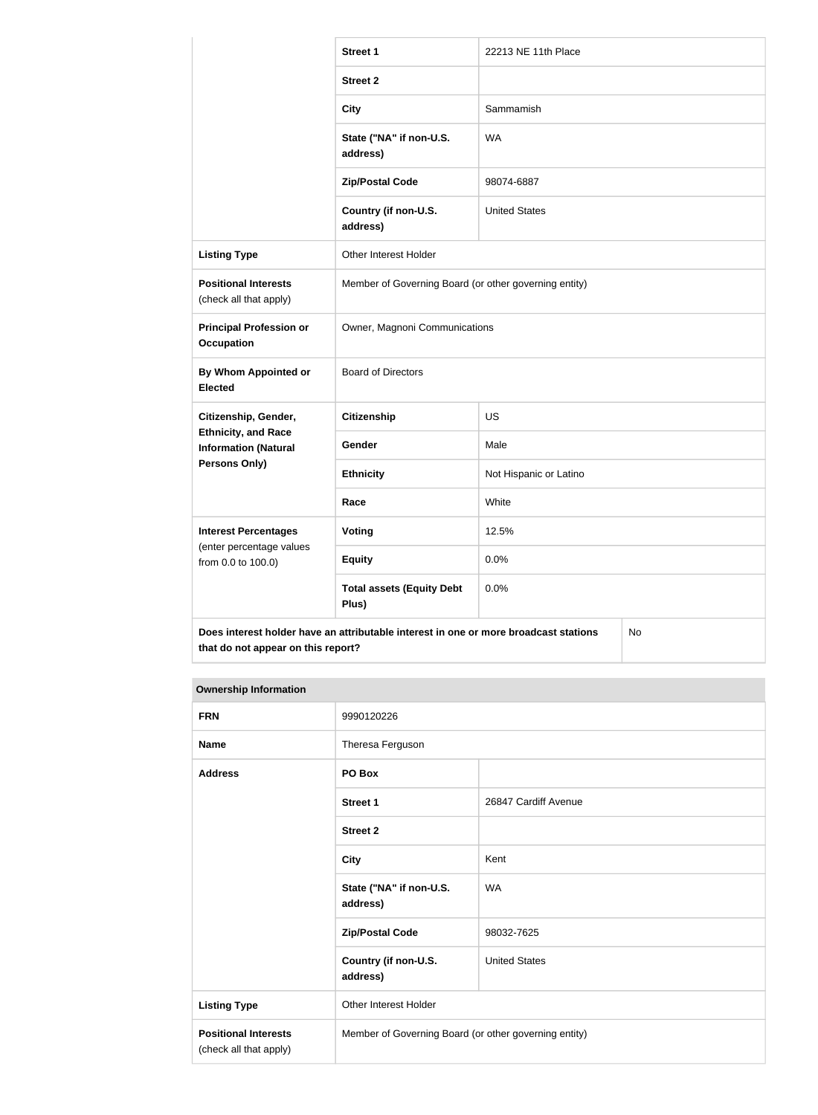|                                                                                            | <b>Street 1</b>                                       | 22213 NE 11th Place    |  |
|--------------------------------------------------------------------------------------------|-------------------------------------------------------|------------------------|--|
|                                                                                            | <b>Street 2</b>                                       |                        |  |
|                                                                                            | <b>City</b>                                           | Sammamish              |  |
|                                                                                            | State ("NA" if non-U.S.<br>address)                   | <b>WA</b>              |  |
|                                                                                            | <b>Zip/Postal Code</b>                                | 98074-6887             |  |
|                                                                                            | Country (if non-U.S.<br>address)                      | <b>United States</b>   |  |
| <b>Listing Type</b>                                                                        | Other Interest Holder                                 |                        |  |
| <b>Positional Interests</b><br>(check all that apply)                                      | Member of Governing Board (or other governing entity) |                        |  |
| <b>Principal Profession or</b><br>Occupation                                               | Owner, Magnoni Communications                         |                        |  |
| By Whom Appointed or<br><b>Elected</b>                                                     | <b>Board of Directors</b>                             |                        |  |
| Citizenship, Gender,                                                                       | <b>Citizenship</b>                                    | <b>US</b>              |  |
| <b>Ethnicity, and Race</b><br><b>Information (Natural</b>                                  | Gender                                                | Male                   |  |
| <b>Persons Only)</b>                                                                       | <b>Ethnicity</b>                                      | Not Hispanic or Latino |  |
|                                                                                            | Race                                                  | White                  |  |
| <b>Interest Percentages</b>                                                                | Voting                                                | 12.5%                  |  |
| (enter percentage values<br>from 0.0 to 100.0)                                             | <b>Equity</b>                                         | 0.0%                   |  |
|                                                                                            | <b>Total assets (Equity Debt</b><br>Plus)             | 0.0%                   |  |
| Does interest holder have an attributable interest in one or more broadcast stations<br>No |                                                       |                        |  |

# **Ownership Information**

**that do not appear on this report?**

| <b>FRN</b>                                            | 9990120226                                            |                      |
|-------------------------------------------------------|-------------------------------------------------------|----------------------|
| <b>Name</b>                                           | Theresa Ferguson                                      |                      |
| <b>Address</b>                                        | PO Box                                                |                      |
|                                                       | <b>Street 1</b>                                       | 26847 Cardiff Avenue |
|                                                       | <b>Street 2</b>                                       |                      |
|                                                       | <b>City</b>                                           | Kent                 |
|                                                       | State ("NA" if non-U.S.<br>address)                   | <b>WA</b>            |
|                                                       | <b>Zip/Postal Code</b>                                | 98032-7625           |
|                                                       | Country (if non-U.S.<br>address)                      | <b>United States</b> |
| <b>Listing Type</b>                                   | <b>Other Interest Holder</b>                          |                      |
| <b>Positional Interests</b><br>(check all that apply) | Member of Governing Board (or other governing entity) |                      |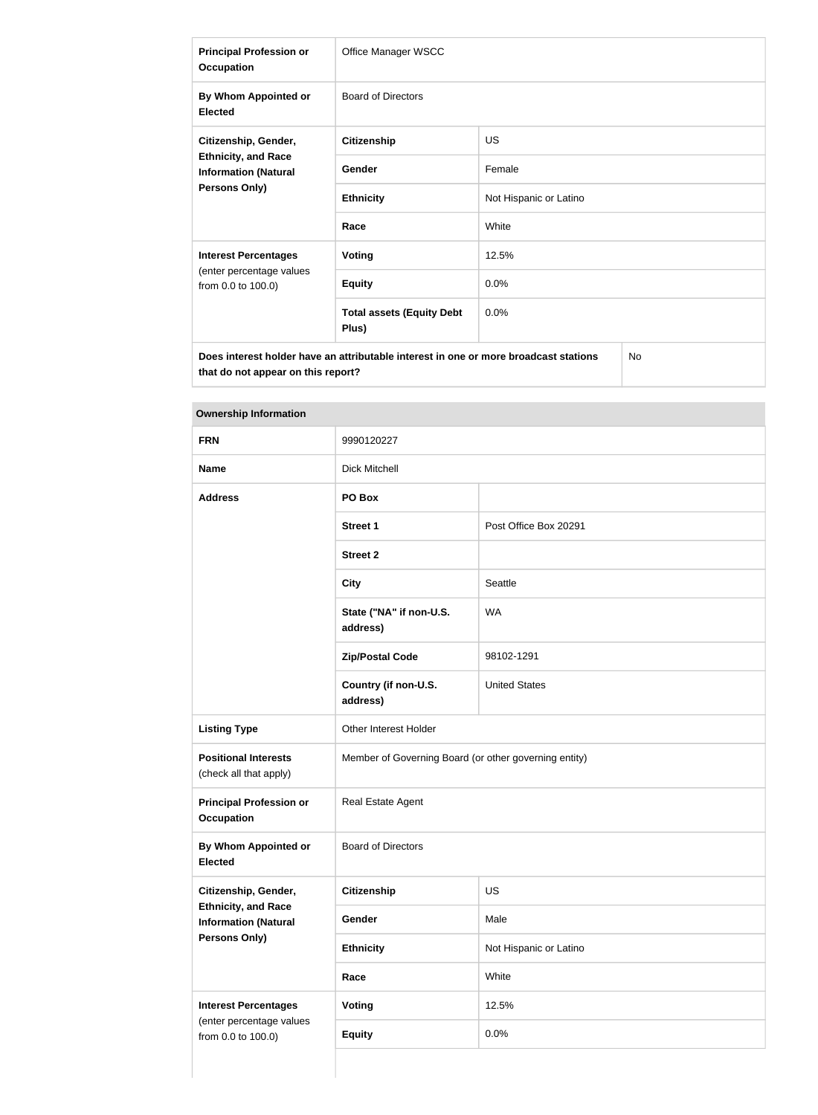| <b>Principal Profession or</b><br><b>Occupation</b>                                                       | Office Manager WSCC                       |                        |
|-----------------------------------------------------------------------------------------------------------|-------------------------------------------|------------------------|
| By Whom Appointed or<br><b>Elected</b>                                                                    | <b>Board of Directors</b>                 |                        |
| Citizenship, Gender,<br><b>Ethnicity, and Race</b><br><b>Information (Natural</b><br><b>Persons Only)</b> | <b>Citizenship</b>                        | <b>US</b>              |
|                                                                                                           | Gender                                    | Female                 |
|                                                                                                           | <b>Ethnicity</b>                          | Not Hispanic or Latino |
|                                                                                                           | Race                                      | White                  |
| <b>Interest Percentages</b>                                                                               | <b>Voting</b>                             | 12.5%                  |
| (enter percentage values<br>from 0.0 to 100.0)                                                            | <b>Equity</b>                             | 0.0%                   |
|                                                                                                           | <b>Total assets (Equity Debt</b><br>Plus) | 0.0%                   |
| <b>No</b><br>Does interest holder have an attributable interest in one or more broadcast stations         |                                           |                        |

**Ownership Information**

**that do not appear on this report?**

| <b>FRN</b>                                                                    | 9990120227                                            |                        |
|-------------------------------------------------------------------------------|-------------------------------------------------------|------------------------|
| <b>Name</b>                                                                   | <b>Dick Mitchell</b>                                  |                        |
| <b>Address</b>                                                                | PO Box                                                |                        |
|                                                                               | <b>Street 1</b>                                       | Post Office Box 20291  |
|                                                                               | <b>Street 2</b>                                       |                        |
|                                                                               | <b>City</b>                                           | Seattle                |
|                                                                               | State ("NA" if non-U.S.<br>address)                   | <b>WA</b>              |
|                                                                               | <b>Zip/Postal Code</b>                                | 98102-1291             |
|                                                                               | Country (if non-U.S.<br>address)                      | <b>United States</b>   |
| <b>Listing Type</b>                                                           | Other Interest Holder                                 |                        |
| <b>Positional Interests</b><br>(check all that apply)                         | Member of Governing Board (or other governing entity) |                        |
| <b>Principal Profession or</b><br><b>Occupation</b>                           | Real Estate Agent                                     |                        |
| <b>By Whom Appointed or</b><br><b>Elected</b>                                 | <b>Board of Directors</b>                             |                        |
| Citizenship, Gender,                                                          | <b>Citizenship</b>                                    | US                     |
| <b>Ethnicity, and Race</b><br><b>Information (Natural</b><br>Persons Only)    | Gender                                                | Male                   |
|                                                                               | <b>Ethnicity</b>                                      | Not Hispanic or Latino |
|                                                                               | Race                                                  | White                  |
| <b>Interest Percentages</b><br>(enter percentage values<br>from 0.0 to 100.0) | Voting                                                | 12.5%                  |
|                                                                               | <b>Equity</b>                                         | 0.0%                   |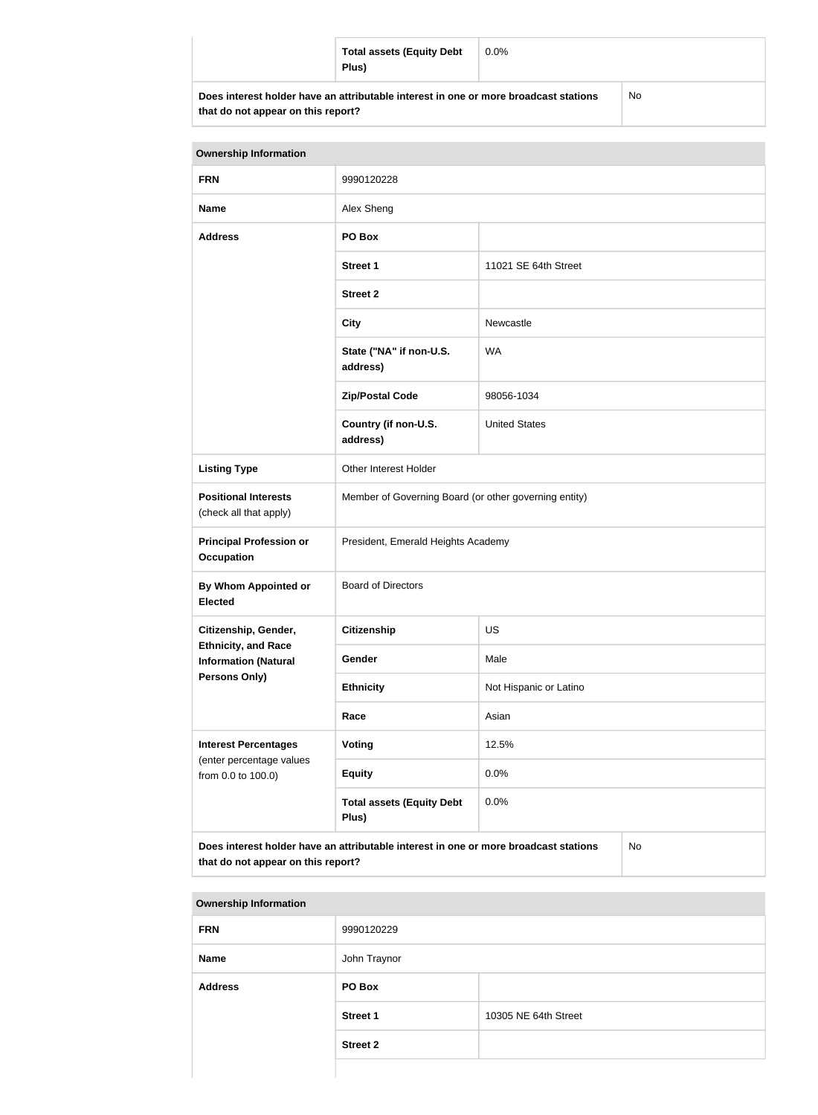|                                                                                      | <b>Total assets (Equity Debt</b><br>Plus) | $0.0\%$ |     |
|--------------------------------------------------------------------------------------|-------------------------------------------|---------|-----|
| Does interest holder have an attributable interest in one or more broadcast stations |                                           |         | No. |

| <b>Ownership Information</b>                                                                                                     |                                                       |                        |  |
|----------------------------------------------------------------------------------------------------------------------------------|-------------------------------------------------------|------------------------|--|
| <b>FRN</b>                                                                                                                       | 9990120228                                            |                        |  |
| <b>Name</b>                                                                                                                      | Alex Sheng                                            |                        |  |
| <b>Address</b>                                                                                                                   | PO Box                                                |                        |  |
|                                                                                                                                  | <b>Street 1</b>                                       | 11021 SE 64th Street   |  |
|                                                                                                                                  | <b>Street 2</b>                                       |                        |  |
|                                                                                                                                  | <b>City</b>                                           | Newcastle              |  |
|                                                                                                                                  | State ("NA" if non-U.S.<br>address)                   | <b>WA</b>              |  |
|                                                                                                                                  | <b>Zip/Postal Code</b>                                | 98056-1034             |  |
|                                                                                                                                  | Country (if non-U.S.<br>address)                      | <b>United States</b>   |  |
| <b>Listing Type</b>                                                                                                              | Other Interest Holder                                 |                        |  |
| <b>Positional Interests</b><br>(check all that apply)                                                                            | Member of Governing Board (or other governing entity) |                        |  |
| <b>Principal Profession or</b><br><b>Occupation</b>                                                                              | President, Emerald Heights Academy                    |                        |  |
| <b>By Whom Appointed or</b><br><b>Elected</b>                                                                                    | <b>Board of Directors</b>                             |                        |  |
| Citizenship, Gender,                                                                                                             | <b>Citizenship</b>                                    | <b>US</b>              |  |
| <b>Ethnicity, and Race</b><br><b>Information (Natural</b>                                                                        | Gender                                                | Male                   |  |
| Persons Only)                                                                                                                    | <b>Ethnicity</b>                                      | Not Hispanic or Latino |  |
|                                                                                                                                  | Race                                                  | Asian                  |  |
| <b>Interest Percentages</b><br>(enter percentage values<br>from 0.0 to 100.0)                                                    | Voting                                                | 12.5%                  |  |
|                                                                                                                                  | <b>Equity</b>                                         | 0.0%                   |  |
|                                                                                                                                  | <b>Total assets (Equity Debt</b><br>Plus)             | 0.0%                   |  |
| Does interest holder have an attributable interest in one or more broadcast stations<br>No<br>that do not appear on this report? |                                                       |                        |  |

| <b>Ownership Information</b> |                 |                      |  |
|------------------------------|-----------------|----------------------|--|
| <b>FRN</b>                   | 9990120229      |                      |  |
| <b>Name</b>                  | John Traynor    |                      |  |
| <b>Address</b>               | PO Box          |                      |  |
|                              | <b>Street 1</b> | 10305 NE 64th Street |  |
|                              | <b>Street 2</b> |                      |  |
|                              |                 |                      |  |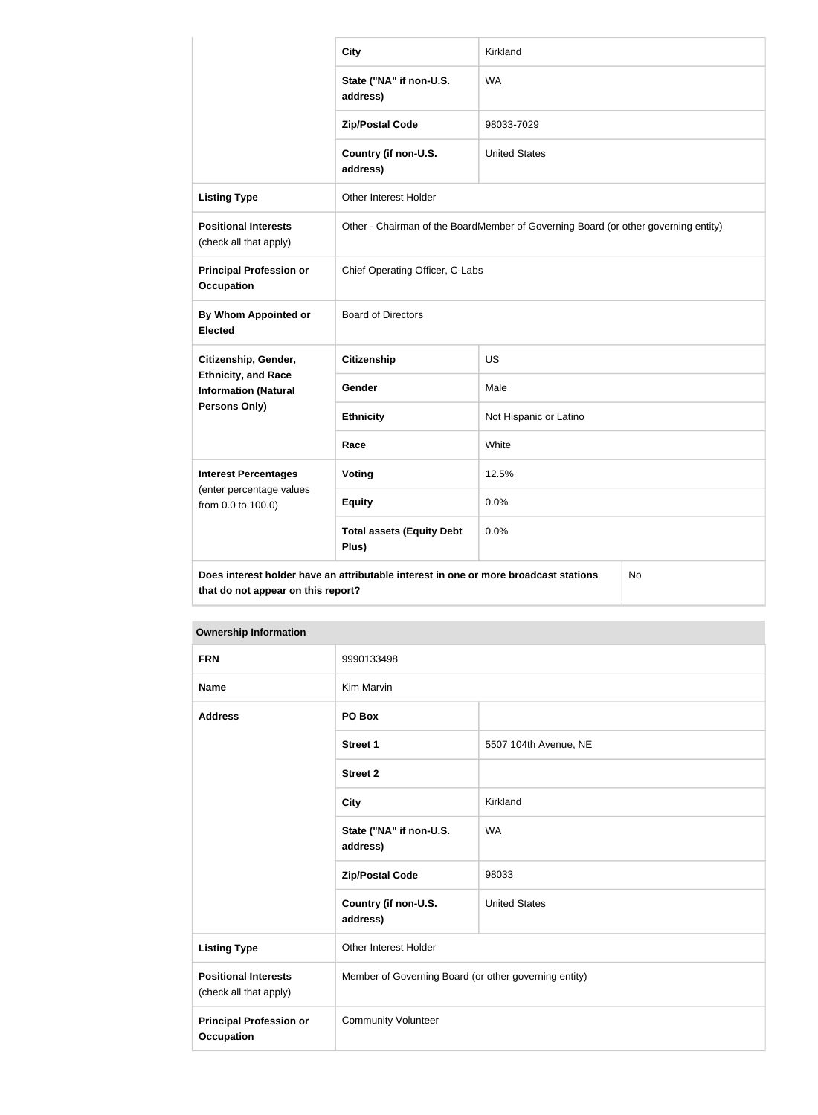|                                                                               | <b>City</b>                                                                          | Kirkland               |  |
|-------------------------------------------------------------------------------|--------------------------------------------------------------------------------------|------------------------|--|
|                                                                               | State ("NA" if non-U.S.<br>address)                                                  | <b>WA</b>              |  |
|                                                                               | <b>Zip/Postal Code</b>                                                               | 98033-7029             |  |
|                                                                               | Country (if non-U.S.<br>address)                                                     | <b>United States</b>   |  |
| <b>Listing Type</b>                                                           | Other Interest Holder                                                                |                        |  |
| <b>Positional Interests</b><br>(check all that apply)                         | Other - Chairman of the BoardMember of Governing Board (or other governing entity)   |                        |  |
| <b>Principal Profession or</b><br><b>Occupation</b>                           | Chief Operating Officer, C-Labs                                                      |                        |  |
| <b>By Whom Appointed or</b><br><b>Elected</b>                                 | <b>Board of Directors</b>                                                            |                        |  |
| Citizenship, Gender,                                                          | <b>Citizenship</b>                                                                   | <b>US</b>              |  |
| <b>Ethnicity, and Race</b><br><b>Information (Natural</b>                     | Gender                                                                               | Male                   |  |
| Persons Only)                                                                 | <b>Ethnicity</b>                                                                     | Not Hispanic or Latino |  |
|                                                                               | Race                                                                                 | White                  |  |
| <b>Interest Percentages</b><br>(enter percentage values<br>from 0.0 to 100.0) | <b>Voting</b>                                                                        | 12.5%                  |  |
|                                                                               | <b>Equity</b>                                                                        | 0.0%                   |  |
|                                                                               | <b>Total assets (Equity Debt</b><br>Plus)                                            | 0.0%                   |  |
| that do not appear on this report?                                            | Does interest holder have an attributable interest in one or more broadcast stations | No                     |  |

| <b>Ownership Information</b>                          |                                                       |                       |  |
|-------------------------------------------------------|-------------------------------------------------------|-----------------------|--|
| <b>FRN</b>                                            | 9990133498                                            |                       |  |
| <b>Name</b>                                           | Kim Marvin                                            |                       |  |
| <b>Address</b>                                        | PO Box                                                |                       |  |
|                                                       | <b>Street 1</b>                                       | 5507 104th Avenue, NE |  |
|                                                       | <b>Street 2</b>                                       |                       |  |
|                                                       | <b>City</b>                                           | Kirkland              |  |
|                                                       | State ("NA" if non-U.S.<br>address)                   | <b>WA</b>             |  |
|                                                       | <b>Zip/Postal Code</b>                                | 98033                 |  |
|                                                       | Country (if non-U.S.<br>address)                      | <b>United States</b>  |  |
| <b>Listing Type</b>                                   | Other Interest Holder                                 |                       |  |
| <b>Positional Interests</b><br>(check all that apply) | Member of Governing Board (or other governing entity) |                       |  |
| <b>Principal Profession or</b><br><b>Occupation</b>   | <b>Community Volunteer</b>                            |                       |  |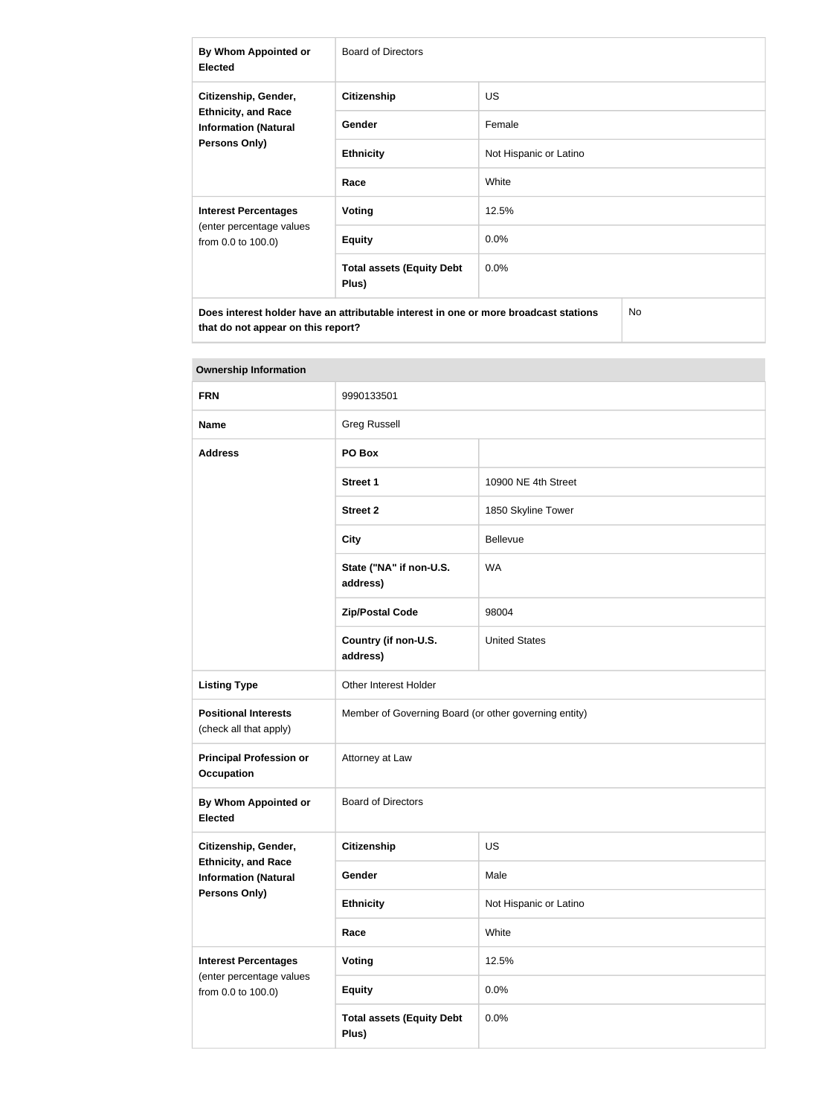| By Whom Appointed or<br><b>Elected</b>                                                                    | <b>Board of Directors</b>                 |                        |  |
|-----------------------------------------------------------------------------------------------------------|-------------------------------------------|------------------------|--|
| Citizenship, Gender,<br><b>Ethnicity, and Race</b><br><b>Information (Natural</b><br><b>Persons Only)</b> | <b>Citizenship</b>                        | <b>US</b>              |  |
|                                                                                                           | <b>Gender</b>                             | Female                 |  |
|                                                                                                           | <b>Ethnicity</b>                          | Not Hispanic or Latino |  |
|                                                                                                           | Race                                      | White                  |  |
| <b>Interest Percentages</b><br>(enter percentage values<br>from 0.0 to 100.0)                             | Voting                                    | 12.5%                  |  |
|                                                                                                           | <b>Equity</b>                             | $0.0\%$                |  |
|                                                                                                           | <b>Total assets (Equity Debt</b><br>Plus) | $0.0\%$                |  |
| Does interest holder have an attributable interest in one or more broadcast stations<br>No                |                                           |                        |  |

| <b>Ownership Information</b>                                                      |                                                       |                        |  |
|-----------------------------------------------------------------------------------|-------------------------------------------------------|------------------------|--|
| <b>FRN</b>                                                                        | 9990133501                                            |                        |  |
| <b>Name</b>                                                                       | <b>Greg Russell</b>                                   |                        |  |
| <b>Address</b>                                                                    | PO Box                                                |                        |  |
|                                                                                   | <b>Street 1</b>                                       | 10900 NE 4th Street    |  |
|                                                                                   | <b>Street 2</b>                                       | 1850 Skyline Tower     |  |
|                                                                                   | <b>City</b>                                           | Bellevue               |  |
|                                                                                   | State ("NA" if non-U.S.<br>address)                   | <b>WA</b>              |  |
|                                                                                   | <b>Zip/Postal Code</b>                                | 98004                  |  |
|                                                                                   | Country (if non-U.S.<br>address)                      | <b>United States</b>   |  |
| <b>Listing Type</b>                                                               | Other Interest Holder                                 |                        |  |
| <b>Positional Interests</b><br>(check all that apply)                             | Member of Governing Board (or other governing entity) |                        |  |
| <b>Principal Profession or</b><br>Occupation                                      | Attorney at Law                                       |                        |  |
| By Whom Appointed or<br><b>Elected</b>                                            | <b>Board of Directors</b>                             |                        |  |
| Citizenship, Gender,                                                              | <b>Citizenship</b>                                    | US                     |  |
| <b>Ethnicity, and Race</b><br><b>Information (Natural</b><br><b>Persons Only)</b> | Gender                                                | Male                   |  |
|                                                                                   | <b>Ethnicity</b>                                      | Not Hispanic or Latino |  |
|                                                                                   | Race                                                  | White                  |  |
| <b>Interest Percentages</b><br>(enter percentage values<br>from 0.0 to 100.0)     | <b>Voting</b>                                         | 12.5%                  |  |
|                                                                                   | <b>Equity</b>                                         | 0.0%                   |  |
|                                                                                   | <b>Total assets (Equity Debt</b><br>Plus)             | 0.0%                   |  |

**that do not appear on this report?**